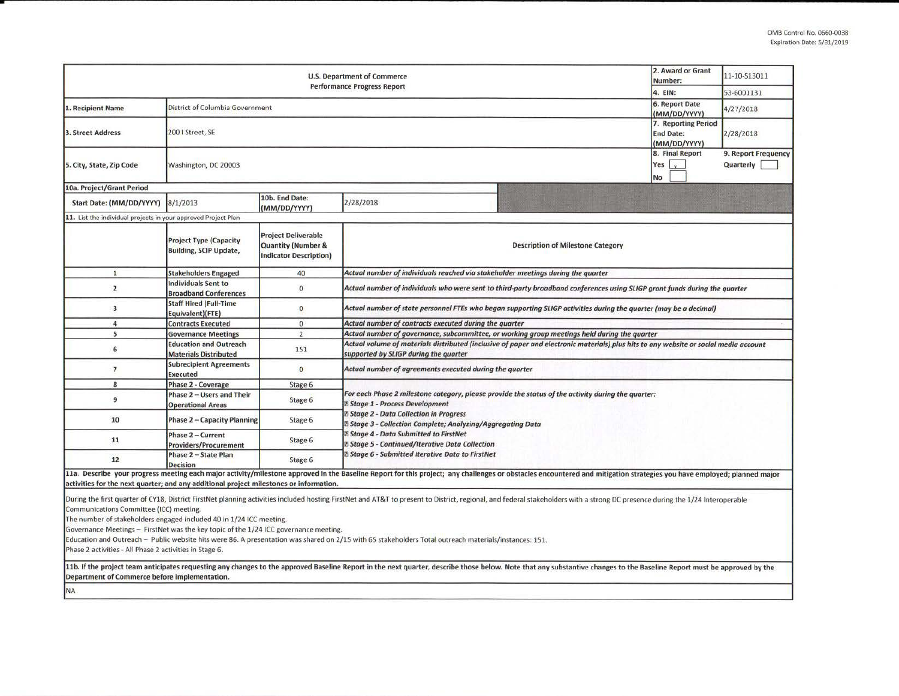| <b>U.S. Department of Commerce</b><br><b>Performance Progress Report</b>                                                                                                                                                                                          |                                                                |                                                                                              |                                                                                                                                                                                                                                                                                                                                                                                        |                                          | 2. Award or Grant<br>Number:<br>4. EIN: | 11-10-S13011<br>53-6001131       |  |  |  |  |
|-------------------------------------------------------------------------------------------------------------------------------------------------------------------------------------------------------------------------------------------------------------------|----------------------------------------------------------------|----------------------------------------------------------------------------------------------|----------------------------------------------------------------------------------------------------------------------------------------------------------------------------------------------------------------------------------------------------------------------------------------------------------------------------------------------------------------------------------------|------------------------------------------|-----------------------------------------|----------------------------------|--|--|--|--|
| 1. Recipient Name                                                                                                                                                                                                                                                 | District of Columbia Government                                |                                                                                              |                                                                                                                                                                                                                                                                                                                                                                                        |                                          |                                         | 4/27/2018                        |  |  |  |  |
| 3. Street Address                                                                                                                                                                                                                                                 | 200   Street, SE                                               |                                                                                              |                                                                                                                                                                                                                                                                                                                                                                                        |                                          |                                         | 2/28/2018                        |  |  |  |  |
| 5. City, State, Zip Code                                                                                                                                                                                                                                          | Washington, DC 20003                                           |                                                                                              |                                                                                                                                                                                                                                                                                                                                                                                        |                                          | 8. Final Report<br>Yes  <br><b>No</b>   | 9. Report Frequency<br>Quarterly |  |  |  |  |
| 10a. Project/Grant Period                                                                                                                                                                                                                                         |                                                                |                                                                                              |                                                                                                                                                                                                                                                                                                                                                                                        |                                          |                                         |                                  |  |  |  |  |
| Start Date: (MM/DD/YYYY)                                                                                                                                                                                                                                          | 8/1/2013                                                       | 10b. End Date:<br>(MM/DD/YYYY)                                                               | 2/28/2018                                                                                                                                                                                                                                                                                                                                                                              |                                          |                                         |                                  |  |  |  |  |
| 11. List the individual projects in your approved Project Plan                                                                                                                                                                                                    |                                                                |                                                                                              |                                                                                                                                                                                                                                                                                                                                                                                        |                                          |                                         |                                  |  |  |  |  |
|                                                                                                                                                                                                                                                                   | <b>Project Type (Capacity</b><br><b>Building, SCIP Update,</b> | <b>Project Deliverable</b><br><b>Quantity (Number &amp;</b><br><b>Indicator Description)</b> |                                                                                                                                                                                                                                                                                                                                                                                        | <b>Description of Milestone Category</b> |                                         |                                  |  |  |  |  |
| $\mathbf{1}$                                                                                                                                                                                                                                                      | <b>Stakeholders Engaged</b>                                    | 40                                                                                           | Actual number of individuals reached via stakeholder meetings during the quarter                                                                                                                                                                                                                                                                                                       |                                          |                                         |                                  |  |  |  |  |
| $\overline{2}$                                                                                                                                                                                                                                                    | <b>Individuals Sent to</b><br><b>Broadband Conferences</b>     | $\mathbf{O}$                                                                                 | Actual number of individuals who were sent to third-party broadband conferences using SLIGP grant funds during the guarter                                                                                                                                                                                                                                                             |                                          |                                         |                                  |  |  |  |  |
| 3                                                                                                                                                                                                                                                                 | <b>Staff Hired (Full-Time</b><br>Equivalent)(FTE)              | $\mathbf{0}$                                                                                 | Actual number of state personnel FTEs who began supporting SLIGP activities during the quarter (may be a decimal)                                                                                                                                                                                                                                                                      |                                          |                                         |                                  |  |  |  |  |
| $\overline{4}$                                                                                                                                                                                                                                                    | <b>Contracts Executed</b>                                      | $\mathbf{0}$                                                                                 | Actual number of contracts executed during the quarter                                                                                                                                                                                                                                                                                                                                 |                                          |                                         |                                  |  |  |  |  |
| 5                                                                                                                                                                                                                                                                 | <b>Governance Meetings</b>                                     | $\overline{2}$                                                                               | Actual number of governance, subcommittee, or working group meetings held during the quarter                                                                                                                                                                                                                                                                                           |                                          |                                         |                                  |  |  |  |  |
| 6                                                                                                                                                                                                                                                                 | <b>Education and Outreach</b><br><b>Materials Distributed</b>  | 151                                                                                          | Actual volume of materials distributed (inclusive of paper and electronic materials) plus hits to any website or social media account<br>supported by SLIGP during the quarter                                                                                                                                                                                                         |                                          |                                         |                                  |  |  |  |  |
| $\overline{7}$                                                                                                                                                                                                                                                    | <b>Subrecipient Agreements</b><br>Executed                     | $\mathbf{0}$                                                                                 | Actual number of agreements executed during the quarter                                                                                                                                                                                                                                                                                                                                |                                          |                                         |                                  |  |  |  |  |
| 8                                                                                                                                                                                                                                                                 | Phase 2 - Coverage                                             | Stage 6                                                                                      |                                                                                                                                                                                                                                                                                                                                                                                        |                                          |                                         |                                  |  |  |  |  |
| 9                                                                                                                                                                                                                                                                 | Phase 2 - Users and Their<br><b>Operational Areas</b>          | Stage 6                                                                                      | For each Phase 2 milestone category, please provide the status of the activity during the quarter:<br><b>E Stage 1 - Process Development</b>                                                                                                                                                                                                                                           |                                          |                                         |                                  |  |  |  |  |
| 10                                                                                                                                                                                                                                                                | Phase 2 - Capacity Planning                                    | Stage 6                                                                                      | <b>E Stage 2 - Data Collection in Progress</b><br>a Stage 3 - Collection Complete; Analyzing/Aggregating Data                                                                                                                                                                                                                                                                          |                                          |                                         |                                  |  |  |  |  |
| 11                                                                                                                                                                                                                                                                | Phase 2 - Current<br><b>Providers/Procurement</b>              | Stage 6                                                                                      | <b>B Stage 4 - Data Submitted to FirstNet</b><br><b>B Stage 5 - Continued/Iterative Data Collection</b><br><b>Z Stage 6 - Submitted Iterative Data to FirstNet</b>                                                                                                                                                                                                                     |                                          |                                         |                                  |  |  |  |  |
| 12                                                                                                                                                                                                                                                                | Phase 2 - State Plan<br><b>Decision</b>                        | Stage 6                                                                                      |                                                                                                                                                                                                                                                                                                                                                                                        |                                          |                                         |                                  |  |  |  |  |
| activities for the next quarter; and any additional project milestones or information.                                                                                                                                                                            |                                                                |                                                                                              | 11a. Describe your progress meeting each major activity/milestone approved in the Baseline Report for this project; any challenges or obstacles encountered and mitigation strategies you have employed; planned major                                                                                                                                                                 |                                          |                                         |                                  |  |  |  |  |
| Communications Committee (ICC) meeting.<br>The number of stakeholders engaged included 40 in 1/24 ICC meeting.<br>Governance Meetings - FirstNet was the key topic of the 1/24 ICC governance meeting.<br>Phase 2 activities - All Phase 2 activities in Stage 6. |                                                                |                                                                                              | During the first quarter of CY18, District FirstNet planning activities included hosting FirstNet and AT&T to present to District, regional, and federal stakeholders with a strong DC presence during the 1/24 Interoperable<br>Education and Outreach - Public website hits were 86. A presentation was shared on 2/15 with 65 stakeholders Total outreach materials/instances: 151. |                                          |                                         |                                  |  |  |  |  |
| Department of Commerce before implementation.                                                                                                                                                                                                                     |                                                                |                                                                                              | 11b. If the project team anticipates requesting any changes to the approved Baseline Report in the next quarter, describe those below. Note that any substantive changes to the Baseline Report must be approved by the                                                                                                                                                                |                                          |                                         |                                  |  |  |  |  |
| <b>NA</b>                                                                                                                                                                                                                                                         |                                                                |                                                                                              |                                                                                                                                                                                                                                                                                                                                                                                        |                                          |                                         |                                  |  |  |  |  |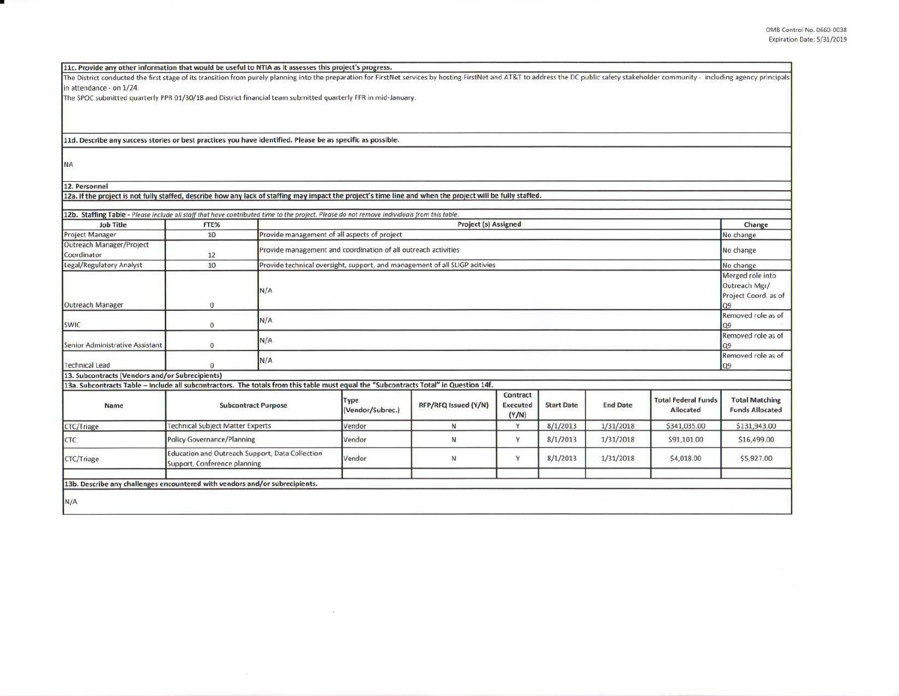| 11c. Provide any other information that would be useful to NTIA as it assesses this project's progress.                                                                                                                        |                                         |                                                                             |                                |                                                                             |                 |                   |                 |                            |                        |
|--------------------------------------------------------------------------------------------------------------------------------------------------------------------------------------------------------------------------------|-----------------------------------------|-----------------------------------------------------------------------------|--------------------------------|-----------------------------------------------------------------------------|-----------------|-------------------|-----------------|----------------------------|------------------------|
| The District conducted the first stage of its transition from purely planning into the preparation for FirstNet services by hosting FirstNet and AT&T to address the DC public safety stakeholder community - including agency |                                         |                                                                             |                                |                                                                             |                 |                   |                 |                            |                        |
| in attendance - on 1/24.                                                                                                                                                                                                       |                                         |                                                                             |                                |                                                                             |                 |                   |                 |                            |                        |
| The SPOC submitted quarterly PPR 01/30/18 and District financial team submitted quarterly FFR in mid-January.                                                                                                                  |                                         |                                                                             |                                |                                                                             |                 |                   |                 |                            |                        |
|                                                                                                                                                                                                                                |                                         |                                                                             |                                |                                                                             |                 |                   |                 |                            |                        |
|                                                                                                                                                                                                                                |                                         |                                                                             |                                |                                                                             |                 |                   |                 |                            |                        |
|                                                                                                                                                                                                                                |                                         |                                                                             |                                |                                                                             |                 |                   |                 |                            |                        |
| 11d. Describe any success stories or best practices you have identified. Please be as specific as possible.                                                                                                                    |                                         |                                                                             |                                |                                                                             |                 |                   |                 |                            |                        |
|                                                                                                                                                                                                                                |                                         |                                                                             |                                |                                                                             |                 |                   |                 |                            |                        |
| <b>NA</b>                                                                                                                                                                                                                      |                                         |                                                                             |                                |                                                                             |                 |                   |                 |                            |                        |
|                                                                                                                                                                                                                                |                                         |                                                                             |                                |                                                                             |                 |                   |                 |                            |                        |
| 12. Personnel                                                                                                                                                                                                                  |                                         |                                                                             |                                |                                                                             |                 |                   |                 |                            |                        |
| 12a. If the project is not fully staffed, describe how any lack of staffing may impact the project's time line and when the project will be fully staffed.                                                                     |                                         |                                                                             |                                |                                                                             |                 |                   |                 |                            |                        |
|                                                                                                                                                                                                                                |                                         |                                                                             |                                |                                                                             |                 |                   |                 |                            |                        |
| 12b. Staffing Table - Please include all staff that have contributed time to the project. Please do not remove individuals from this table.                                                                                    |                                         |                                                                             |                                |                                                                             |                 |                   |                 |                            |                        |
| <b>Job Title</b>                                                                                                                                                                                                               | FTE%                                    |                                                                             | Project (s) Assigned<br>Change |                                                                             |                 |                   |                 |                            |                        |
| <b>Project Manager</b>                                                                                                                                                                                                         | 10                                      | Provide management of all aspects of project                                |                                |                                                                             |                 |                   |                 |                            | No change              |
| Outreach Manager/Project                                                                                                                                                                                                       |                                         | Provide management and coordination of all outreach activities<br>No change |                                |                                                                             |                 |                   |                 |                            |                        |
| Coordinator                                                                                                                                                                                                                    | 12                                      |                                                                             |                                |                                                                             |                 |                   |                 |                            |                        |
| Legal/Regulatory Analyst                                                                                                                                                                                                       | 10                                      |                                                                             |                                | Provide technical oversight, support, and management of all SLIGP acitivies |                 |                   |                 |                            | No change              |
|                                                                                                                                                                                                                                |                                         |                                                                             |                                |                                                                             |                 |                   |                 |                            | Merged role into       |
|                                                                                                                                                                                                                                | N/A                                     |                                                                             |                                |                                                                             |                 |                   | Outreach Mgr/   |                            |                        |
|                                                                                                                                                                                                                                |                                         |                                                                             |                                |                                                                             |                 |                   |                 |                            | Project Coord. as of   |
| Outreach Manager                                                                                                                                                                                                               | 0                                       | Q <sub>9</sub>                                                              |                                |                                                                             |                 |                   |                 |                            |                        |
|                                                                                                                                                                                                                                |                                         | N/A                                                                         |                                |                                                                             |                 |                   |                 | Removed role as of         |                        |
| <b>SWIC</b>                                                                                                                                                                                                                    | $\sigma$                                | 09                                                                          |                                |                                                                             |                 |                   |                 |                            |                        |
|                                                                                                                                                                                                                                |                                         | N/A                                                                         |                                |                                                                             |                 |                   |                 | Removed role as of         |                        |
| Senior Administrative Assistant                                                                                                                                                                                                | $\mathbf{O}$                            | Q9                                                                          |                                |                                                                             |                 |                   |                 |                            |                        |
| <b>Technical Lead</b>                                                                                                                                                                                                          | $\mathbf{0}$                            | N/A                                                                         |                                |                                                                             |                 |                   |                 | Removed role as of<br>Q9   |                        |
| 13. Subcontracts (Vendors and/or Subrecipients)                                                                                                                                                                                |                                         |                                                                             |                                |                                                                             |                 |                   |                 |                            |                        |
| 13a. Subcontracts Table - Include all subcontractors. The totals from this table must equal the "Subcontracts Total" in Question 14f.                                                                                          |                                         |                                                                             |                                |                                                                             |                 |                   |                 |                            |                        |
|                                                                                                                                                                                                                                |                                         |                                                                             |                                |                                                                             | Contract        |                   |                 |                            |                        |
| <b>Name</b>                                                                                                                                                                                                                    |                                         | <b>Subcontract Purpose</b>                                                  | Type                           | RFP/RFQ Issued (Y/N)                                                        | <b>Executed</b> | <b>Start Date</b> | <b>End Date</b> | <b>Total Federal Funds</b> | <b>Total Matching</b>  |
|                                                                                                                                                                                                                                |                                         |                                                                             | (Vendor/Subrec.)               |                                                                             | (Y/N)           |                   |                 | <b>Allocated</b>           | <b>Funds Allocated</b> |
| CTC/Triage                                                                                                                                                                                                                     | <b>Technical Subject Matter Experts</b> |                                                                             | Vendor                         | N                                                                           | Y               | 8/1/2013          | 1/31/2018       | \$341,035.00               | \$131,943.00           |
| <b>CTC</b>                                                                                                                                                                                                                     | <b>Policy Governance/Planning</b>       |                                                                             | Vendor                         | N                                                                           | Y               | 8/1/2013          | 1/31/2018       | \$91,101.00                | \$16,499.00            |
| Education and Outreach Support, Data Collection                                                                                                                                                                                |                                         |                                                                             |                                |                                                                             |                 |                   |                 |                            |                        |
| CTC/Triage                                                                                                                                                                                                                     | Support, Conference planning            |                                                                             | Vendor                         | N                                                                           | Υ               | 8/1/2013          | 1/31/2018       | \$4,018.00                 | \$5,927.00             |
|                                                                                                                                                                                                                                |                                         |                                                                             |                                |                                                                             |                 |                   |                 |                            |                        |
| 13b. Describe any challenges encountered with vendors and/or subrecipients.                                                                                                                                                    |                                         |                                                                             |                                |                                                                             |                 |                   |                 |                            |                        |
|                                                                                                                                                                                                                                |                                         |                                                                             |                                |                                                                             |                 |                   |                 |                            |                        |
| N/A                                                                                                                                                                                                                            |                                         |                                                                             |                                |                                                                             |                 |                   |                 |                            |                        |
|                                                                                                                                                                                                                                |                                         |                                                                             |                                |                                                                             |                 |                   |                 |                            |                        |

 $\langle \sigma \rangle$